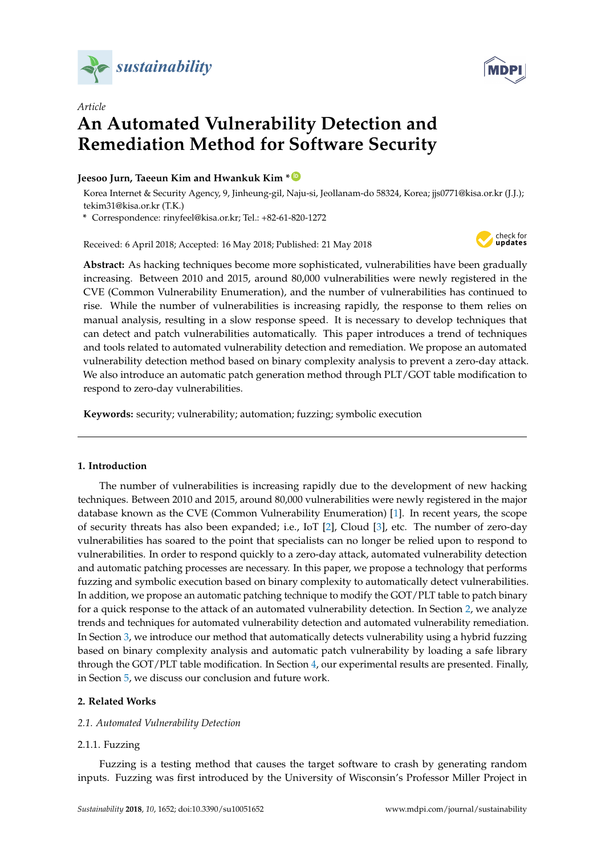



# *Article* **An Automated Vulnerability Detection and Remediation Method for Software Security**

### **Jeesoo Jurn, Taeeun Kim and Hwankuk Kim \* [ID](https://orcid.org/0000-0002-4449-5821)**

Korea Internet & Security Agency, 9, Jinheung-gil, Naju-si, Jeollanam-do 58324, Korea; jjs0771@kisa.or.kr (J.J.); tekim31@kisa.or.kr (T.K.)

**\*** Correspondence: rinyfeel@kisa.or.kr; Tel.: +82-61-820-1272

Received: 6 April 2018; Accepted: 16 May 2018; Published: 21 May 2018



**Abstract:** As hacking techniques become more sophisticated, vulnerabilities have been gradually increasing. Between 2010 and 2015, around 80,000 vulnerabilities were newly registered in the CVE (Common Vulnerability Enumeration), and the number of vulnerabilities has continued to rise. While the number of vulnerabilities is increasing rapidly, the response to them relies on manual analysis, resulting in a slow response speed. It is necessary to develop techniques that can detect and patch vulnerabilities automatically. This paper introduces a trend of techniques and tools related to automated vulnerability detection and remediation. We propose an automated vulnerability detection method based on binary complexity analysis to prevent a zero-day attack. We also introduce an automatic patch generation method through PLT/GOT table modification to respond to zero-day vulnerabilities.

**Keywords:** security; vulnerability; automation; fuzzing; symbolic execution

### **1. Introduction**

The number of vulnerabilities is increasing rapidly due to the development of new hacking techniques. Between 2010 and 2015, around 80,000 vulnerabilities were newly registered in the major database known as the CVE (Common Vulnerability Enumeration) [\[1\]](#page-9-0). In recent years, the scope of security threats has also been expanded; i.e., IoT [\[2\]](#page-10-0), Cloud [\[3\]](#page-10-1), etc. The number of zero-day vulnerabilities has soared to the point that specialists can no longer be relied upon to respond to vulnerabilities. In order to respond quickly to a zero-day attack, automated vulnerability detection and automatic patching processes are necessary. In this paper, we propose a technology that performs fuzzing and symbolic execution based on binary complexity to automatically detect vulnerabilities. In addition, we propose an automatic patching technique to modify the GOT/PLT table to patch binary for a quick response to the attack of an automated vulnerability detection. In Section [2,](#page-0-0) we analyze trends and techniques for automated vulnerability detection and automated vulnerability remediation. In Section [3,](#page-4-0) we introduce our method that automatically detects vulnerability using a hybrid fuzzing based on binary complexity analysis and automatic patch vulnerability by loading a safe library through the GOT/PLT table modification. In Section [4,](#page-8-0) our experimental results are presented. Finally, in Section [5,](#page-9-1) we discuss our conclusion and future work.

### <span id="page-0-0"></span>**2. Related Works**

### *2.1. Automated Vulnerability Detection*

### 2.1.1. Fuzzing

Fuzzing is a testing method that causes the target software to crash by generating random inputs. Fuzzing was first introduced by the University of Wisconsin's Professor Miller Project in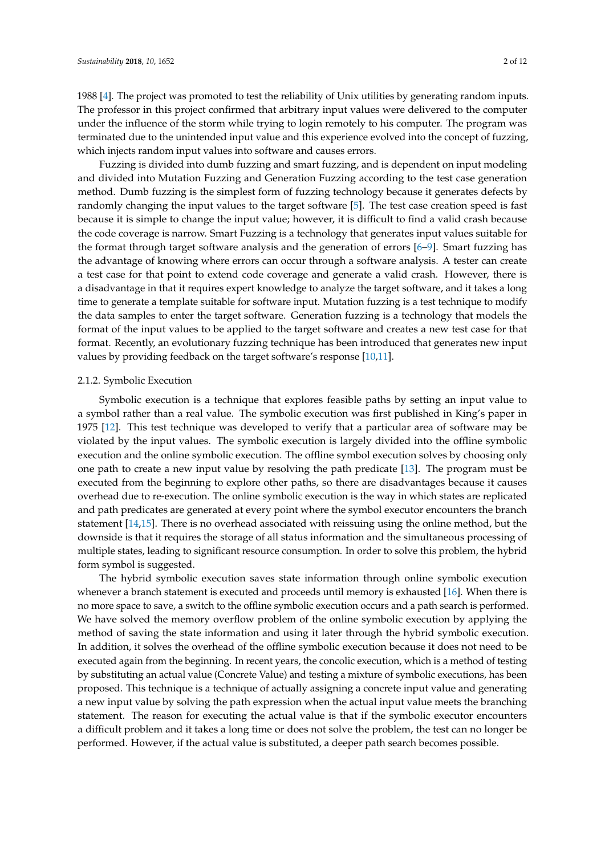1988 [\[4\]](#page-10-2). The project was promoted to test the reliability of Unix utilities by generating random inputs. The professor in this project confirmed that arbitrary input values were delivered to the computer under the influence of the storm while trying to login remotely to his computer. The program was terminated due to the unintended input value and this experience evolved into the concept of fuzzing, which injects random input values into software and causes errors.

Fuzzing is divided into dumb fuzzing and smart fuzzing, and is dependent on input modeling and divided into Mutation Fuzzing and Generation Fuzzing according to the test case generation method. Dumb fuzzing is the simplest form of fuzzing technology because it generates defects by randomly changing the input values to the target software [\[5\]](#page-10-3). The test case creation speed is fast because it is simple to change the input value; however, it is difficult to find a valid crash because the code coverage is narrow. Smart Fuzzing is a technology that generates input values suitable for the format through target software analysis and the generation of errors [\[6–](#page-10-4)[9\]](#page-10-5). Smart fuzzing has the advantage of knowing where errors can occur through a software analysis. A tester can create a test case for that point to extend code coverage and generate a valid crash. However, there is a disadvantage in that it requires expert knowledge to analyze the target software, and it takes a long time to generate a template suitable for software input. Mutation fuzzing is a test technique to modify the data samples to enter the target software. Generation fuzzing is a technology that models the format of the input values to be applied to the target software and creates a new test case for that format. Recently, an evolutionary fuzzing technique has been introduced that generates new input values by providing feedback on the target software's response [\[10,](#page-10-6)[11\]](#page-10-7).

#### 2.1.2. Symbolic Execution

Symbolic execution is a technique that explores feasible paths by setting an input value to a symbol rather than a real value. The symbolic execution was first published in King's paper in 1975 [\[12\]](#page-10-8). This test technique was developed to verify that a particular area of software may be violated by the input values. The symbolic execution is largely divided into the offline symbolic execution and the online symbolic execution. The offline symbol execution solves by choosing only one path to create a new input value by resolving the path predicate [\[13\]](#page-10-9). The program must be executed from the beginning to explore other paths, so there are disadvantages because it causes overhead due to re-execution. The online symbolic execution is the way in which states are replicated and path predicates are generated at every point where the symbol executor encounters the branch statement [\[14,](#page-10-10)[15\]](#page-10-11). There is no overhead associated with reissuing using the online method, but the downside is that it requires the storage of all status information and the simultaneous processing of multiple states, leading to significant resource consumption. In order to solve this problem, the hybrid form symbol is suggested.

The hybrid symbolic execution saves state information through online symbolic execution whenever a branch statement is executed and proceeds until memory is exhausted [\[16\]](#page-10-12). When there is no more space to save, a switch to the offline symbolic execution occurs and a path search is performed. We have solved the memory overflow problem of the online symbolic execution by applying the method of saving the state information and using it later through the hybrid symbolic execution. In addition, it solves the overhead of the offline symbolic execution because it does not need to be executed again from the beginning. In recent years, the concolic execution, which is a method of testing by substituting an actual value (Concrete Value) and testing a mixture of symbolic executions, has been proposed. This technique is a technique of actually assigning a concrete input value and generating a new input value by solving the path expression when the actual input value meets the branching statement. The reason for executing the actual value is that if the symbolic executor encounters a difficult problem and it takes a long time or does not solve the problem, the test can no longer be performed. However, if the actual value is substituted, a deeper path search becomes possible.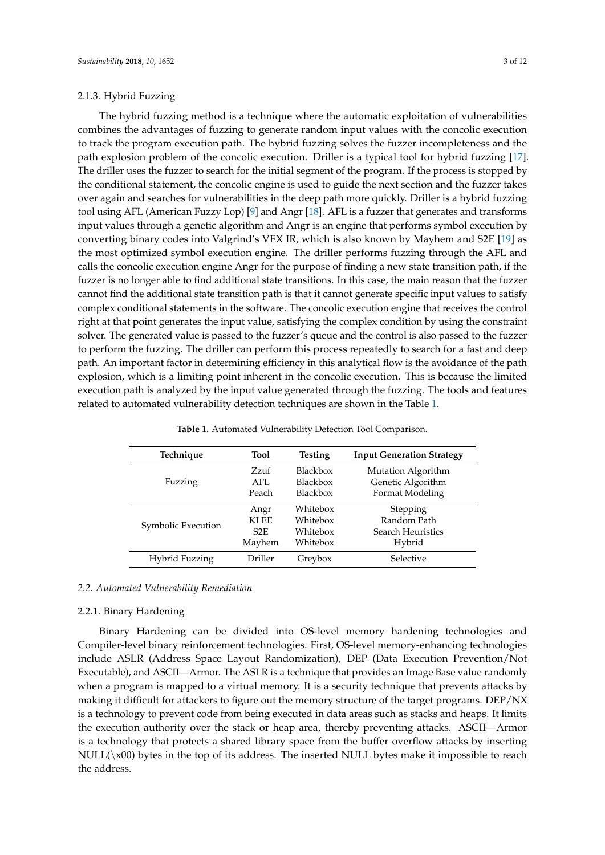### 2.1.3. Hybrid Fuzzing

The hybrid fuzzing method is a technique where the automatic exploitation of vulnerabilities combines the advantages of fuzzing to generate random input values with the concolic execution to track the program execution path. The hybrid fuzzing solves the fuzzer incompleteness and the path explosion problem of the concolic execution. Driller is a typical tool for hybrid fuzzing [\[17\]](#page-10-13). The driller uses the fuzzer to search for the initial segment of the program. If the process is stopped by the conditional statement, the concolic engine is used to guide the next section and the fuzzer takes over again and searches for vulnerabilities in the deep path more quickly. Driller is a hybrid fuzzing tool using AFL (American Fuzzy Lop) [\[9\]](#page-10-5) and Angr [\[18\]](#page-10-14). AFL is a fuzzer that generates and transforms input values through a genetic algorithm and Angr is an engine that performs symbol execution by converting binary codes into Valgrind's VEX IR, which is also known by Mayhem and S2E [\[19\]](#page-10-15) as the most optimized symbol execution engine. The driller performs fuzzing through the AFL and calls the concolic execution engine Angr for the purpose of finding a new state transition path, if the fuzzer is no longer able to find additional state transitions. In this case, the main reason that the fuzzer cannot find the additional state transition path is that it cannot generate specific input values to satisfy complex conditional statements in the software. The concolic execution engine that receives the control right at that point generates the input value, satisfying the complex condition by using the constraint solver. The generated value is passed to the fuzzer's queue and the control is also passed to the fuzzer to perform the fuzzing. The driller can perform this process repeatedly to search for a fast and deep path. An important factor in determining efficiency in this analytical flow is the avoidance of the path explosion, which is a limiting point inherent in the concolic execution. This is because the limited execution path is analyzed by the input value generated through the fuzzing. The tools and features related to automated vulnerability detection techniques are shown in the Table [1.](#page-2-0)

<span id="page-2-0"></span>

| Technique             | <b>Tool</b>      | <b>Testing</b>  | <b>Input Generation Strategy</b> |
|-----------------------|------------------|-----------------|----------------------------------|
|                       | Zzuf             | <b>Blackbox</b> | Mutation Algorithm               |
| Fuzzing               | AFI.             | <b>Blackbox</b> | Genetic Algorithm                |
|                       | Peach            | <b>Blackbox</b> | Format Modeling                  |
| Symbolic Execution    | Angr             | Whitebox        | Stepping                         |
|                       | KLEE             | Whitebox        | Random Path                      |
|                       | S <sub>2</sub> E | Whitebox        | Search Heuristics                |
|                       | Mayhem           | Whitebox        | Hybrid                           |
| <b>Hybrid Fuzzing</b> | Driller          | Greybox         | Selective                        |

**Table 1.** Automated Vulnerability Detection Tool Comparison.

### *2.2. Automated Vulnerability Remediation*

### 2.2.1. Binary Hardening

Binary Hardening can be divided into OS-level memory hardening technologies and Compiler-level binary reinforcement technologies. First, OS-level memory-enhancing technologies include ASLR (Address Space Layout Randomization), DEP (Data Execution Prevention/Not Executable), and ASCII—Armor. The ASLR is a technique that provides an Image Base value randomly when a program is mapped to a virtual memory. It is a security technique that prevents attacks by making it difficult for attackers to figure out the memory structure of the target programs. DEP/NX is a technology to prevent code from being executed in data areas such as stacks and heaps. It limits the execution authority over the stack or heap area, thereby preventing attacks. ASCII—Armor is a technology that protects a shared library space from the buffer overflow attacks by inserting  $NULL(\x00)$  bytes in the top of its address. The inserted NULL bytes make it impossible to reach the address.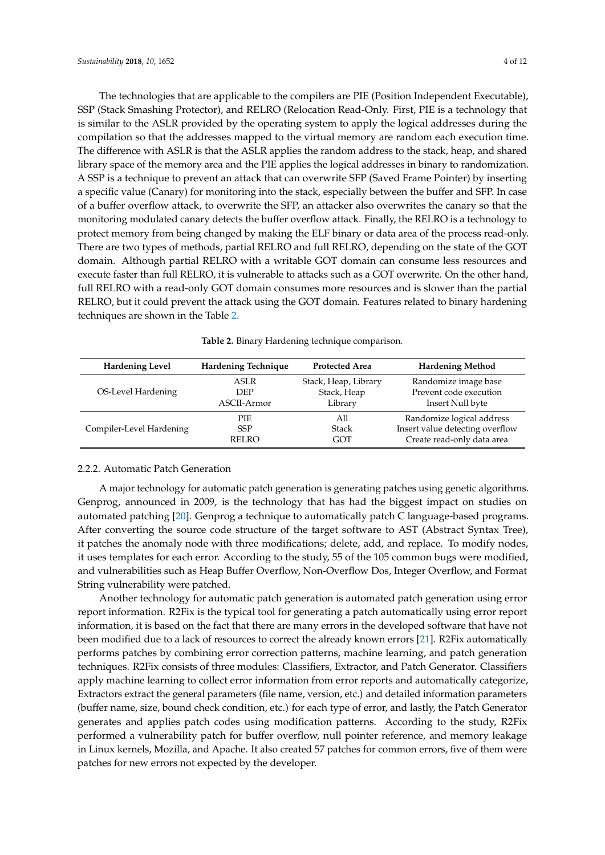The technologies that are applicable to the compilers are PIE (Position Independent Executable), SSP (Stack Smashing Protector), and RELRO (Relocation Read-Only. First, PIE is a technology that is similar to the ASLR provided by the operating system to apply the logical addresses during the compilation so that the addresses mapped to the virtual memory are random each execution time. The difference with ASLR is that the ASLR applies the random address to the stack, heap, and shared library space of the memory area and the PIE applies the logical addresses in binary to randomization. A SSP is a technique to prevent an attack that can overwrite SFP (Saved Frame Pointer) by inserting a specific value (Canary) for monitoring into the stack, especially between the buffer and SFP. In case of a buffer overflow attack, to overwrite the SFP, an attacker also overwrites the canary so that the monitoring modulated canary detects the buffer overflow attack. Finally, the RELRO is a technology to protect memory from being changed by making the ELF binary or data area of the process read-only. There are two types of methods, partial RELRO and full RELRO, depending on the state of the GOT domain. Although partial RELRO with a writable GOT domain can consume less resources and execute faster than full RELRO, it is vulnerable to attacks such as a GOT overwrite. On the other hand, full RELRO with a read-only GOT domain consumes more resources and is slower than the partial RELRO, but it could prevent the attack using the GOT domain. Features related to binary hardening techniques are shown in the Table [2.](#page-3-0)

| Table 2. Binary Hardening technique comparison. |  |  |  |
|-------------------------------------------------|--|--|--|
|-------------------------------------------------|--|--|--|

<span id="page-3-0"></span>

| <b>Hardening Level</b>   | <b>Hardening Technique</b> | <b>Protected Area</b> | <b>Hardening Method</b>         |
|--------------------------|----------------------------|-----------------------|---------------------------------|
| OS-Level Hardening       | ASLR                       | Stack, Heap, Library  | Randomize image base            |
|                          | <b>DEP</b>                 | Stack, Heap           | Prevent code execution          |
|                          | ASCII-Armor                | Library               | Insert Null byte                |
| Compiler-Level Hardening | <b>PIE</b>                 | All                   | Randomize logical address       |
|                          | <b>SSP</b>                 | Stack                 | Insert value detecting overflow |
|                          | <b>RELRO</b>               | GOT                   | Create read-only data area      |

#### 2.2.2. Automatic Patch Generation

A major technology for automatic patch generation is generating patches using genetic algorithms. Genprog, announced in 2009, is the technology that has had the biggest impact on studies on automated patching [\[20\]](#page-10-16). Genprog a technique to automatically patch C language-based programs. After converting the source code structure of the target software to AST (Abstract Syntax Tree), it patches the anomaly node with three modifications; delete, add, and replace. To modify nodes, it uses templates for each error. According to the study, 55 of the 105 common bugs were modified, and vulnerabilities such as Heap Buffer Overflow, Non-Overflow Dos, Integer Overflow, and Format String vulnerability were patched.

Another technology for automatic patch generation is automated patch generation using error report information. R2Fix is the typical tool for generating a patch automatically using error report information, it is based on the fact that there are many errors in the developed software that have not been modified due to a lack of resources to correct the already known errors [\[21\]](#page-10-17). R2Fix automatically performs patches by combining error correction patterns, machine learning, and patch generation techniques. R2Fix consists of three modules: Classifiers, Extractor, and Patch Generator. Classifiers apply machine learning to collect error information from error reports and automatically categorize, Extractors extract the general parameters (file name, version, etc.) and detailed information parameters (buffer name, size, bound check condition, etc.) for each type of error, and lastly, the Patch Generator generates and applies patch codes using modification patterns. According to the study, R2Fix performed a vulnerability patch for buffer overflow, null pointer reference, and memory leakage in Linux kernels, Mozilla, and Apache. It also created 57 patches for common errors, five of them were patches for new errors not expected by the developer.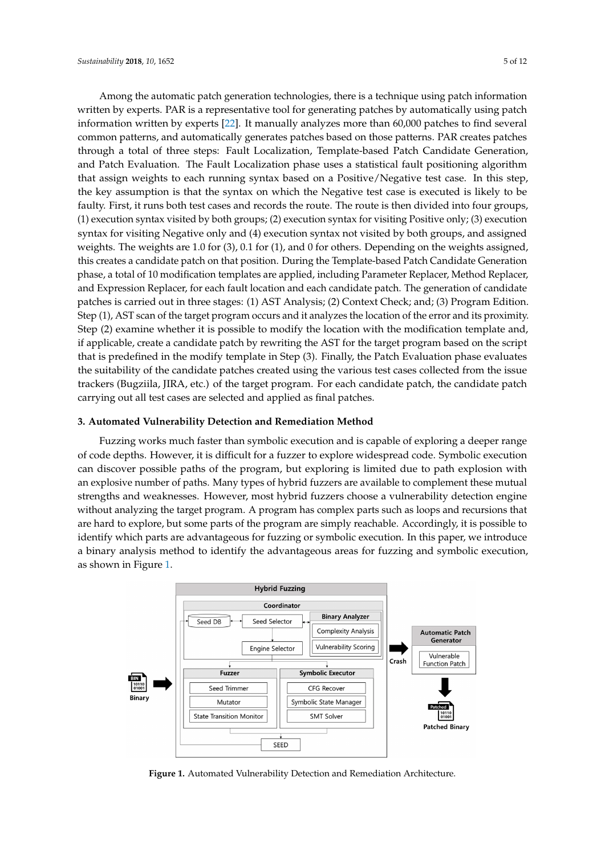Among the automatic patch generation technologies, there is a technique using patch information written by experts. PAR is a representative tool for generating patches by automatically using patch information written by experts [\[22\]](#page-10-18). It manually analyzes more than 60,000 patches to find several common patterns, and automatically generates patches based on those patterns. PAR creates patches through a total of three steps: Fault Localization, Template-based Patch Candidate Generation, and Patch Evaluation. The Fault Localization phase uses a statistical fault positioning algorithm that assign weights to each running syntax based on a Positive/Negative test case. In this step, the key assumption is that the syntax on which the Negative test case is executed is likely to be faulty. First, it runs both test cases and records the route. The route is then divided into four groups, (1) execution syntax visited by both groups; (2) execution syntax for visiting Positive only; (3) execution syntax for visiting Negative only and (4) execution syntax not visited by both groups, and assigned weights. The weights are 1.0 for (3), 0.1 for (1), and 0 for others. Depending on the weights assigned, this creates a candidate patch on that position. During the Template-based Patch Candidate Generation phase, a total of 10 modification templates are applied, including Parameter Replacer, Method Replacer, .<br>and Expression Replacer, for each fault location and each candidate patch. The generation of candidate patches is carried out in three stages: (1) AST Analysis; (2) Context Check; and; (3) Program Edition. Step (1), AST scan of the target program occurs and it analyzes the location of the error and its proximity. Step (2) examine whether it is possible to modify the location with the modification template and, if applicable, create a candidate patch by rewriting the AST for the target program based on the script that is predefined in the modify template in Step (3). Finally, the Patch Evaluation phase evaluates the suitability of the candidate patches created using the various test cases collected from the issue trackers (Bugziila, JIRA, etc.) of the target program. For each candidate patch, the candidate patch carrying out all test cases are selected and applied as final patches.  $G_{\text{S}}$  and  $G_{\text{S}}$  evaluation. The Fault phase uses a statistical factor  $G_{\text{S}}$  fault position  $G_{\text{S}}$  $\frac{1}{2}$  assigned weights are 1.0 for  $\frac{1}{2}$ ,  $\frac{1}{2}$ ,  $\frac{1}{2}$ ,  $\frac{1}{2}$ ,  $\frac{1}{2}$ ,  $\frac{1}{2}$ ,  $\frac{1}{2}$ ,  $\frac{1}{2}$ ,  $\frac{1}{2}$  $\frac{m}{2}$  is a candidate patches created asing the AsT for tases concern from the target patch by  $\frac{m}{2}$ 

### <span id="page-4-0"></span>3. Automated Vulnerability Detection and Remediation Method

Fuzzing works much faster than symbolic execution and is capable of exploring a deeper range of code depths. However, it is difficult for a fuzzer to explore widespread code. Symbolic execution can discover possible paths of the program, but exploring is limited due to path explosion with an explosive number of paths. Many types of hybrid fuzzers are available to complement these mutual strengths and weaknesses. However, most hybrid fuzzers choose a vulnerability detection engine without analyzing the target program. A program has complex parts such as loops and recursions that are hard to explore, but some parts of the program are simply reachable. Accordingly, it is possible to identify which parts are advantageous for fuzzing or symbolic execution. In this paper, we introduce a binary analysis method to identify the advantageous areas for fuzzing and symbolic execution, as [sho](#page-4-1)wn in Figure 1. cover possible paths of the program, but exploring is immediate to path explosive possible to identify which parts are advantageous for funzing or symbolic execution. In this paper, we in

<span id="page-4-1"></span>

**Figure 1.** Automated Vulnerability Detection and Remediation Architecture. **Figure 1.** Automated Vulnerability Detection and Remediation Architecture.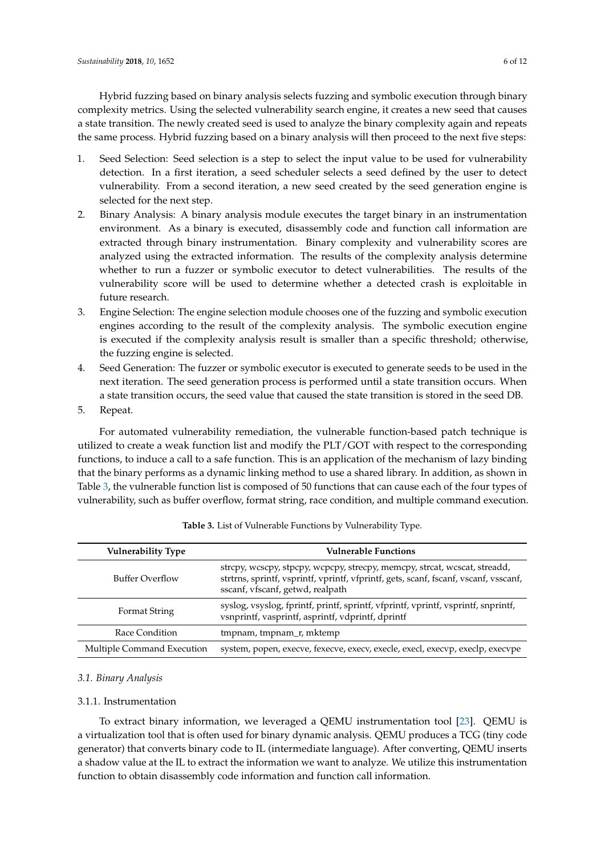Hybrid fuzzing based on binary analysis selects fuzzing and symbolic execution through binary complexity metrics. Using the selected vulnerability search engine, it creates a new seed that causes a state transition. The newly created seed is used to analyze the binary complexity again and repeats the same process. Hybrid fuzzing based on a binary analysis will then proceed to the next five steps:

- 1. Seed Selection: Seed selection is a step to select the input value to be used for vulnerability detection. In a first iteration, a seed scheduler selects a seed defined by the user to detect vulnerability. From a second iteration, a new seed created by the seed generation engine is selected for the next step.
- 2. Binary Analysis: A binary analysis module executes the target binary in an instrumentation environment. As a binary is executed, disassembly code and function call information are extracted through binary instrumentation. Binary complexity and vulnerability scores are analyzed using the extracted information. The results of the complexity analysis determine whether to run a fuzzer or symbolic executor to detect vulnerabilities. The results of the vulnerability score will be used to determine whether a detected crash is exploitable in future research.
- 3. Engine Selection: The engine selection module chooses one of the fuzzing and symbolic execution engines according to the result of the complexity analysis. The symbolic execution engine is executed if the complexity analysis result is smaller than a specific threshold; otherwise, the fuzzing engine is selected.
- 4. Seed Generation: The fuzzer or symbolic executor is executed to generate seeds to be used in the next iteration. The seed generation process is performed until a state transition occurs. When a state transition occurs, the seed value that caused the state transition is stored in the seed DB.
- 5. Repeat.

For automated vulnerability remediation, the vulnerable function-based patch technique is utilized to create a weak function list and modify the PLT/GOT with respect to the corresponding functions, to induce a call to a safe function. This is an application of the mechanism of lazy binding that the binary performs as a dynamic linking method to use a shared library. In addition, as shown in Table [3,](#page-5-0) the vulnerable function list is composed of 50 functions that can cause each of the four types of vulnerability, such as buffer overflow, format string, race condition, and multiple command execution.

<span id="page-5-0"></span>

| <b>Vulnerability Type</b>  | <b>Vulnerable Functions</b>                                                                                                                                                                           |
|----------------------------|-------------------------------------------------------------------------------------------------------------------------------------------------------------------------------------------------------|
| <b>Buffer Overflow</b>     | strcpy, wcscpy, stpcpy, wcpcpy, strecpy, memcpy, strcat, wcscat, streadd,<br>strtrns, sprintf, vsprintf, vprintf, vfprintf, gets, scanf, fscanf, vscanf, vsscanf,<br>sscanf, vfscanf, getwd, realpath |
| Format String              | syslog, vsyslog, fprintf, printf, sprintf, vfprintf, vprintf, vsprintf, snprintf,<br>vsnprintf, vasprintf, asprintf, vdprintf, dprintf                                                                |
| Race Condition             | tmpnam, tmpnam_r, mktemp                                                                                                                                                                              |
| Multiple Command Execution | system, popen, execve, fexecve, execv, execle, execl, execvp, execlp, execvpe                                                                                                                         |

**Table 3.** List of Vulnerable Functions by Vulnerability Type.

#### *3.1. Binary Analysis*

#### 3.1.1. Instrumentation

To extract binary information, we leveraged a QEMU instrumentation tool [\[23\]](#page-10-19). QEMU is a virtualization tool that is often used for binary dynamic analysis. QEMU produces a TCG (tiny code generator) that converts binary code to IL (intermediate language). After converting, QEMU inserts a shadow value at the IL to extract the information we want to analyze. We utilize this instrumentation function to obtain disassembly code information and function call information.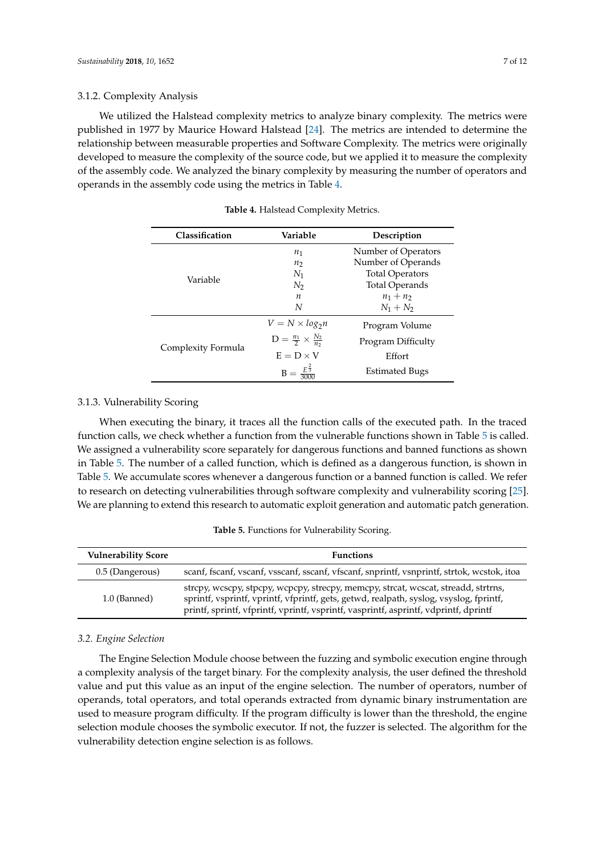#### 3.1.2. Complexity Analysis

We utilized the Halstead complexity metrics to analyze binary complexity. The metrics were published in 1977 by Maurice Howard Halstead [\[24\]](#page-10-20). The metrics are intended to determine the relationship between measurable properties and Software Complexity. The metrics were originally developed to measure the complexity of the source code, but we applied it to measure the complexity of the assembly code. We analyzed the binary complexity by measuring the number of operators and operands in the assembly code using the metrics in Table [4.](#page-6-0)

<span id="page-6-0"></span>

| Classification<br>Variable |                                            | Description            |  |
|----------------------------|--------------------------------------------|------------------------|--|
|                            | $n_1$                                      | Number of Operators    |  |
|                            | n <sub>2</sub>                             | Number of Operands     |  |
|                            | $N_1$                                      | <b>Total Operators</b> |  |
| Variable                   | N <sub>2</sub>                             | <b>Total Operands</b>  |  |
|                            | $\boldsymbol{n}$                           | $n_1 + n_2$            |  |
|                            | N                                          | $N_1 + N_2$            |  |
|                            | $V = N \times log_2 n$                     | Program Volume         |  |
| Complexity Formula         | $D = \frac{n_1}{2} \times \frac{N_2}{n_2}$ | Program Difficulty     |  |
|                            | $E = D \times V$                           | Effort                 |  |
|                            | $B = \frac{E^{\frac{2}{3}}}{3000}$         | <b>Estimated Bugs</b>  |  |

**Table 4.** Halstead Complexity Metrics.

### 3.1.3. Vulnerability Scoring

When executing the binary, it traces all the function calls of the executed path. In the traced function calls, we check whether a function from the vulnerable functions shown in Table [5](#page-6-1) is called. We assigned a vulnerability score separately for dangerous functions and banned functions as shown in Table [5.](#page-6-1) The number of a called function, which is defined as a dangerous function, is shown in Table [5.](#page-6-1) We accumulate scores whenever a dangerous function or a banned function is called. We refer to research on detecting vulnerabilities through software complexity and vulnerability scoring [\[25\]](#page-10-21). We are planning to extend this research to automatic exploit generation and automatic patch generation.

| Table 5. Functions for Vulnerability Scoring. |  |  |
|-----------------------------------------------|--|--|
|-----------------------------------------------|--|--|

<span id="page-6-1"></span>

| <b>Vulnerability Score</b> | <b>Functions</b>                                                                                                                                                                                                                                                     |
|----------------------------|----------------------------------------------------------------------------------------------------------------------------------------------------------------------------------------------------------------------------------------------------------------------|
| 0.5 (Dangerous)            | scanf, fscanf, vscanf, vsscanf, sscanf, vfscanf, snprintf, vsnprintf, strtok, wcstok, itoa                                                                                                                                                                           |
| 1.0 (Banned)               | strcpy, wcscpy, stpcpy, wcpcpy, strecpy, memcpy, strcat, wcscat, streadd, strtrns,<br>sprintf, vsprintf, vprintf, vfprintf, gets, getwd, realpath, syslog, vsyslog, fprintf,<br>printf, sprintf, vfprintf, vprintf, vsprintf, vasprintf, asprintf, vdprintf, dprintf |

#### *3.2. Engine Selection*

The Engine Selection Module choose between the fuzzing and symbolic execution engine through a complexity analysis of the target binary. For the complexity analysis, the user defined the threshold value and put this value as an input of the engine selection. The number of operators, number of operands, total operators, and total operands extracted from dynamic binary instrumentation are used to measure program difficulty. If the program difficulty is lower than the threshold, the engine selection module chooses the symbolic executor. If not, the fuzzer is selected. The algorithm for the vulnerability detection engine selection is as follows.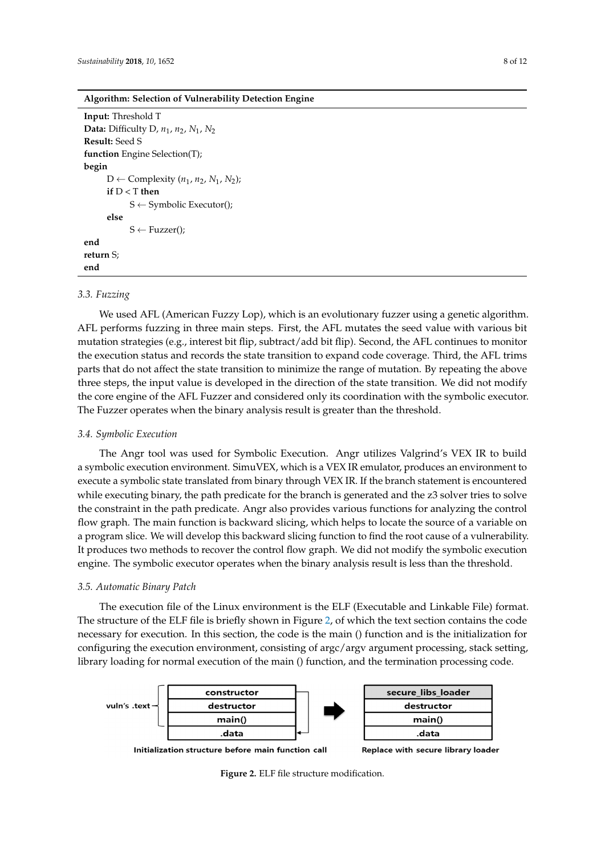### *Algorithm: Selection of Vulnerability Detection Engine* **Respectively.**  $\overline{\phantom{a}}$

```
Input: Threshold T
Data: Difficulty D, n_1, n_2, N_1, N_2Result: Seed S
function Engine Selection(T);
begin
      D \leftarrow Complexity (n_1, n_2, N_1, N_2);
      if D < T then
             S \leftarrow Symbolic Executor();
      else
            S \leftarrow \text{Fuzzy}end
return S;
end
            function Engine Session \mathbf{I}\frac{\text{cuny}}{\text{c}}\mathbf{u}_{\parallel}S = \text{Riccat}(t)
```
#### *3.3. Fuzzing*  $w_{\alpha}$  and  $\alpha$  and is an evolutionary fuzzon  $\alpha$  and  $\alpha$

We used AFL (American Fuzzy Lop), which is an evolutionary fuzzer using a genetic algorithm. AFL performs fuzzing in three main steps. First, the AFL mutates the seed value with various bit mutation strategies (e.g., interest bit flip, subtract/add bit flip). Second, the AFL continues to monitor the execution status and records the state transition to expand code coverage. Third, the AFL trims parts that do not affect the state transition to minimize the range of mutation. By repeating the above three steps, the input value is developed in the direction of the state transition. We did not modify the core engine of the AFL Fuzzer and considered only its coordination with the symbolic executor. The Fuzzer operates when the binary analysis result is greater than the threshold.

#### *3.4. Symbolic Execution*

The Angr tool was used for Symbolic Execution. Angr utilizes Valgrind's VEX IR to build a symbolic execution environment. SimuVEX, which is a VEX IR emulator, produces an environment to execute a symbolic state translated from binary through VEX IR. If the branch statement is encountered while executing binary, the path predicate for the branch is generated and the z3 solver tries to solve the constraint in the path predicate. Angr also provides various functions for analyzing the control flow graph. The main function is backward slicing, which helps to locate the source of a variable on a program slice. We will develop this backward slicing function to find the root cause of a vulnerability. It produces two methods to recover the control flow graph. We did not modify the symbolic execution engine. The symbolic executor operates when the binary analysis result is less than the threshold. than the threshold.

# *3.5. Automatic Binary Patch 3.5. Automatic Binary Patch*

The execution file of the Linux environment is the ELF (Executable and Linkable File) format. The execution file of the Linux environment is the ELF (Executable and Linkable File) format. The structure of the ELF file is briefly shown in Figure [2,](#page-7-0) of which the text section contains the code The structure of the ELF file is briefly shown in Figure 2, of which the text section contains the code necessary for execution. In this section, the code is the main () function and is the initialization for necessary for execution. In this section, the code is the main () function and is the initialization for configuring the execution environment, consisting of argc/argv argument processing, stack setting, configuring the execution environment, consisting of argc/argv argument processing, stack setting, library loading for normal execution of the main () function, and the termination processing code. library loading for normal execution of the main () function, and the termination processing code.

<span id="page-7-0"></span>

Replace with secure library loader

Figure 2. ELF file structure modification.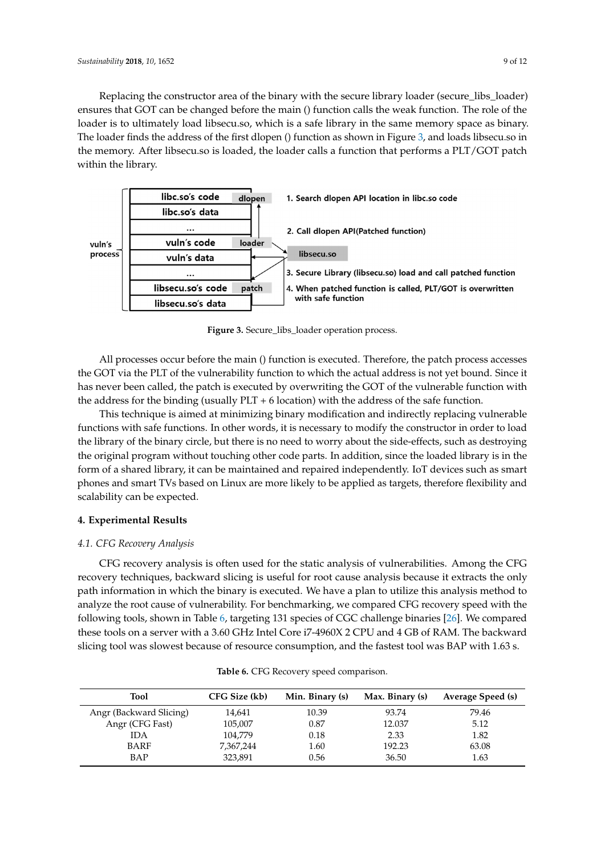Replacing the constructor area of the binary with the secure library loader (secure\_libs\_loader) Replacing the constructor area of the binary with the secure library loader (secure libs ensures that GOT can be changed before the main () function calls the weak function. The role of the ensures that GOT can be changed before the main () function calls the weak function. The role of the loader is to ultimately load libsecu.so, which is a safe library in the same memory space as binary. loader is to ultimately load libsecu.so, which is a safe library in the same memory space as binary. The loader finds the address of the first dlopen () function as shown in Figure [3,](#page-8-1) and loads libsecu.so in<br>The loader finds the address of the first dlopen () function as shown in Figure 3, and loads libsecu.so in the memory. After libsecu.so is loaded, the loader calls a function that performs a PLT/GOT patch in the memory. After libsecu.so is loaded, the loader calls a function that performs a PLT/GOT patch within the library. within the library.

<span id="page-8-1"></span>

**Figure 3.** Secure\_libs\_loader operation process. **Figure 3.** Secure\_libs\_loader operation process.

All processes occur before the main () function is executed. Therefore, the patch process accesses All processes occur before the main () function is executed. Therefore, the patch process accesses the GOT via the PLT of the vulnerability function to which the actual address is not yet bound. Since the GOT via the PLT of the vulnerability function to which the actual address is not yet bound. Since it has never been called, the patch is executed by overwriting the GOT of the vulnerable function with the address for the binding (usually PLT + 6 location) with the address of the safe function. the address for the binding (usually PLT + 6 location) with the address of the safe function.

This technique is aimed at minimizing binary modification and indirectly replacing vulnerable This technique is aimed at minimizing binary modification and indirectly replacing vulnerable functions with safe functions. In other words, it is necessary to modify the constructor in order to functions with safe functions. In other words, it is necessary to modify the constructor in order to load the library of the binary circle, but there is no need to worry about the side-effects, such as destroying the original program without touching other code parts. In addition, since the loaded library is in the form of a shared library, it can be maintained and repaired independently. IoT devices such as smart phones and smart TVs based on Linux are more likely to be applied as targets, therefore flexibility and f<br>scalability can be expected.

## <span id="page-8-0"></span>**4. Experimental Results 4. Experimental Results**

### *4.1. CFG Recovery Analysis 4.1. CFG Recovery Analysis*

CFG recovery analysis is often used for the static analysis of vulnerabilities. Among the CFG CFG recovery analysis is often used for the static analysis of vulnerabilities. Among the CFG recovery techniques, backward slicing is useful for root cause analysis because it extracts the only recovery techniques, backward slicing is useful for root cause analysis because it extracts the only path information in which the binary is executed. We have a plan to utilize this analysis method to path information in which the binary is executed. We have a plan to utilize this analysis method to analyze the root cause of vulnerability. For benchmarking, we compared CFG recovery speed with analyze the root cause of vulnerability. For benchmarking, we compared CFG recovery speed with the following tools, shown in [T](#page-8-2)able 6, targeting 131 species of CGC challenge binaries [\[26\]](#page-10-22). We compared these tools on a server with a 3.60 GHz Intel Core i7-4960X 2 CPU and 4 GB of RAM. The backward slicing tool was slowest because of resource consumption, and the fastest tool was BAP with 1.63 s.

<span id="page-8-2"></span>

| <b>Tool</b>             | CFG Size (kb) | Min. Binary (s) | Max. Binary (s) | Average Speed (s) |
|-------------------------|---------------|-----------------|-----------------|-------------------|
| Angr (Backward Slicing) | 14,641        | 10.39           | 93.74           | 79.46             |
| Angr (CFG Fast)         | 105,007       | 0.87            | 12.037          | 5.12              |
| IDA                     | 104,779       | 0.18            | 2.33            | 1.82              |
| <b>BARF</b>             | 7,367,244     | 1.60            | 192.23          | 63.08             |
| <b>BAP</b>              | 323,891       | 0.56            | 36.50           | 1.63              |

| Table 6. CFG Recovery speed comparison. |  |  |
|-----------------------------------------|--|--|
|-----------------------------------------|--|--|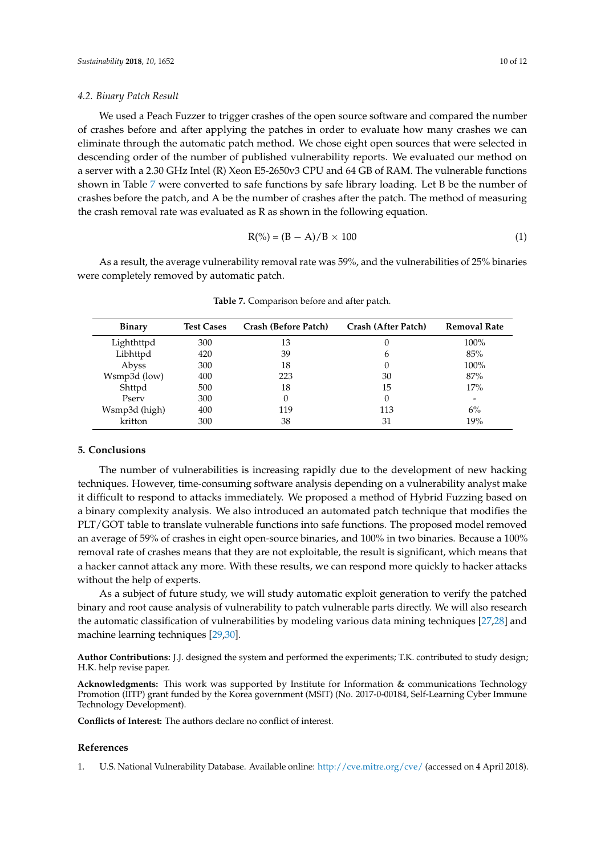We used a Peach Fuzzer to trigger crashes of the open source software and compared the number of crashes before and after applying the patches in order to evaluate how many crashes we can eliminate through the automatic patch method. We chose eight open sources that were selected in descending order of the number of published vulnerability reports. We evaluated our method on a server with a 2.30 GHz Intel (R) Xeon E5-2650v3 CPU and 64 GB of RAM. The vulnerable functions shown in Table [7](#page-9-2) were converted to safe functions by safe library loading. Let B be the number of crashes before the patch, and A be the number of crashes after the patch. The method of measuring the crash removal rate was evaluated as R as shown in the following equation.

$$
R(\%)=(B-A)/B \times 100
$$
 (1)

<span id="page-9-2"></span>As a result, the average vulnerability removal rate was 59%, and the vulnerabilities of 25% binaries were completely removed by automatic patch.

| <b>Binary</b> | <b>Test Cases</b> | Crash (Before Patch) | Crash (After Patch) | <b>Removal Rate</b> |
|---------------|-------------------|----------------------|---------------------|---------------------|
| Lighthttpd    | 300               | 13                   | 0                   | $100\%$             |
| Libhttpd      | 420               | 39                   | 6                   | 85%                 |
| Abyss         | 300               | 18                   | $\left( \right)$    | $100\%$             |
| Wsmp3d (low)  | 400               | 223                  | 30                  | 87%                 |
| Shttpd        | 500               | 18                   | 15                  | 17%                 |
| Pserv         | 300               | $\Omega$             | 0                   |                     |
| Wsmp3d (high) | 400               | 119                  | 113                 | 6%                  |
| kritton       | 300               | 38                   | 31                  | 19%                 |

**Table 7.** Comparison before and after patch.

#### <span id="page-9-1"></span>**5. Conclusions**

The number of vulnerabilities is increasing rapidly due to the development of new hacking techniques. However, time-consuming software analysis depending on a vulnerability analyst make it difficult to respond to attacks immediately. We proposed a method of Hybrid Fuzzing based on a binary complexity analysis. We also introduced an automated patch technique that modifies the PLT/GOT table to translate vulnerable functions into safe functions. The proposed model removed an average of 59% of crashes in eight open-source binaries, and 100% in two binaries. Because a 100% removal rate of crashes means that they are not exploitable, the result is significant, which means that a hacker cannot attack any more. With these results, we can respond more quickly to hacker attacks without the help of experts.

As a subject of future study, we will study automatic exploit generation to verify the patched binary and root cause analysis of vulnerability to patch vulnerable parts directly. We will also research the automatic classification of vulnerabilities by modeling various data mining techniques [\[27](#page-10-23)[,28\]](#page-10-24) and machine learning techniques [\[29](#page-11-0)[,30\]](#page-11-1).

**Author Contributions:** J.J. designed the system and performed the experiments; T.K. contributed to study design; H.K. help revise paper.

**Acknowledgments:** This work was supported by Institute for Information & communications Technology Promotion (IITP) grant funded by the Korea government (MSIT) (No. 2017-0-00184, Self-Learning Cyber Immune Technology Development).

**Conflicts of Interest:** The authors declare no conflict of interest.

#### **References**

<span id="page-9-0"></span>1. U.S. National Vulnerability Database. Available online: <http://cve.mitre.org/cve/> (accessed on 4 April 2018).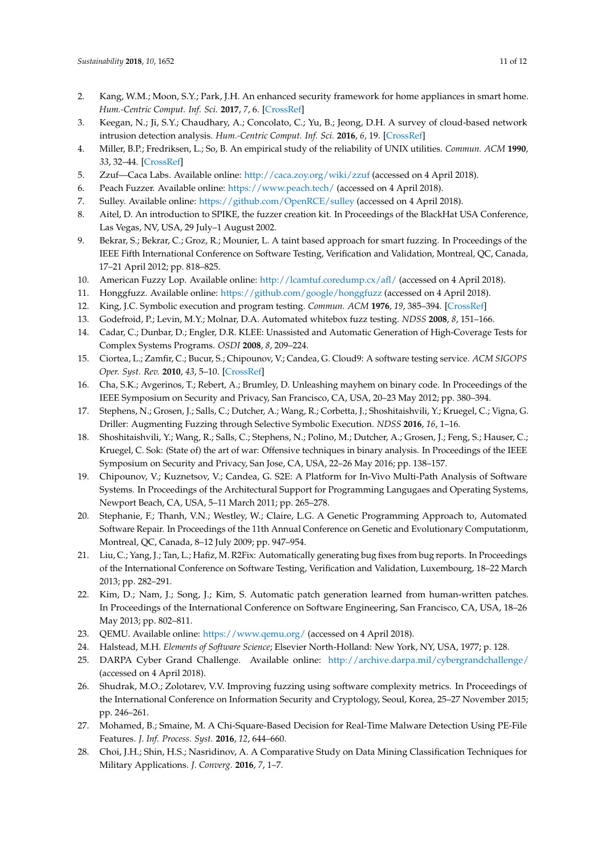- <span id="page-10-0"></span>2. Kang, W.M.; Moon, S.Y.; Park, J.H. An enhanced security framework for home appliances in smart home. *Hum.-Centric Comput. Inf. Sci.* **2017**, *7*, 6. [\[CrossRef\]](http://dx.doi.org/10.1186/s13673-017-0087-4)
- <span id="page-10-1"></span>3. Keegan, N.; Ji, S.Y.; Chaudhary, A.; Concolato, C.; Yu, B.; Jeong, D.H. A survey of cloud-based network intrusion detection analysis. *Hum.-Centric Comput. Inf. Sci.* **2016**, *6*, 19. [\[CrossRef\]](http://dx.doi.org/10.1186/s13673-016-0076-z)
- <span id="page-10-2"></span>4. Miller, B.P.; Fredriksen, L.; So, B. An empirical study of the reliability of UNIX utilities. *Commun. ACM* **1990**, *33*, 32–44. [\[CrossRef\]](http://dx.doi.org/10.1145/96267.96279)
- <span id="page-10-3"></span>5. Zzuf—Caca Labs. Available online: <http://caca.zoy.org/wiki/zzuf> (accessed on 4 April 2018).
- <span id="page-10-4"></span>6. Peach Fuzzer. Available online: <https://www.peach.tech/> (accessed on 4 April 2018).
- 7. Sulley. Available online: <https://github.com/OpenRCE/sulley> (accessed on 4 April 2018).
- 8. Aitel, D. An introduction to SPIKE, the fuzzer creation kit. In Proceedings of the BlackHat USA Conference, Las Vegas, NV, USA, 29 July–1 August 2002.
- <span id="page-10-5"></span>9. Bekrar, S.; Bekrar, C.; Groz, R.; Mounier, L. A taint based approach for smart fuzzing. In Proceedings of the IEEE Fifth International Conference on Software Testing, Verification and Validation, Montreal, QC, Canada, 17–21 April 2012; pp. 818–825.
- <span id="page-10-6"></span>10. American Fuzzy Lop. Available online: <http://lcamtuf.coredump.cx/afl/> (accessed on 4 April 2018).
- <span id="page-10-7"></span>11. Honggfuzz. Available online: <https://github.com/google/honggfuzz> (accessed on 4 April 2018).
- <span id="page-10-8"></span>12. King, J.C. Symbolic execution and program testing. *Commun. ACM* **1976**, *19*, 385–394. [\[CrossRef\]](http://dx.doi.org/10.1145/360248.360252)
- <span id="page-10-9"></span>13. Godefroid, P.; Levin, M.Y.; Molnar, D.A. Automated whitebox fuzz testing. *NDSS* **2008**, *8*, 151–166.
- <span id="page-10-10"></span>14. Cadar, C.; Dunbar, D.; Engler, D.R. KLEE: Unassisted and Automatic Generation of High-Coverage Tests for Complex Systems Programs. *OSDI* **2008**, *8*, 209–224.
- <span id="page-10-11"></span>15. Ciortea, L.; Zamfir, C.; Bucur, S.; Chipounov, V.; Candea, G. Cloud9: A software testing service. *ACM SIGOPS Oper. Syst. Rev.* **2010**, *43*, 5–10. [\[CrossRef\]](http://dx.doi.org/10.1145/1713254.1713257)
- <span id="page-10-12"></span>16. Cha, S.K.; Avgerinos, T.; Rebert, A.; Brumley, D. Unleashing mayhem on binary code. In Proceedings of the IEEE Symposium on Security and Privacy, San Francisco, CA, USA, 20–23 May 2012; pp. 380–394.
- <span id="page-10-13"></span>17. Stephens, N.; Grosen, J.; Salls, C.; Dutcher, A.; Wang, R.; Corbetta, J.; Shoshitaishvili, Y.; Kruegel, C.; Vigna, G. Driller: Augmenting Fuzzing through Selective Symbolic Execution. *NDSS* **2016**, *16*, 1–16.
- <span id="page-10-14"></span>18. Shoshitaishvili, Y.; Wang, R.; Salls, C.; Stephens, N.; Polino, M.; Dutcher, A.; Grosen, J.; Feng, S.; Hauser, C.; Kruegel, C. Sok: (State of) the art of war: Offensive techniques in binary analysis. In Proceedings of the IEEE Symposium on Security and Privacy, San Jose, CA, USA, 22–26 May 2016; pp. 138–157.
- <span id="page-10-15"></span>19. Chipounov, V.; Kuznetsov, V.; Candea, G. S2E: A Platform for In-Vivo Multi-Path Analysis of Software Systems. In Proceedings of the Architectural Support for Programming Langugaes and Operating Systems, Newport Beach, CA, USA, 5–11 March 2011; pp. 265–278.
- <span id="page-10-16"></span>20. Stephanie, F.; Thanh, V.N.; Westley, W.; Claire, L.G. A Genetic Programming Approach to, Automated Software Repair. In Proceedings of the 11th Annual Conference on Genetic and Evolutionary Computationm, Montreal, QC, Canada, 8–12 July 2009; pp. 947–954.
- <span id="page-10-17"></span>21. Liu, C.; Yang, J.; Tan, L.; Hafiz, M. R2Fix: Automatically generating bug fixes from bug reports. In Proceedings of the International Conference on Software Testing, Verification and Validation, Luxembourg, 18–22 March 2013; pp. 282–291.
- <span id="page-10-18"></span>22. Kim, D.; Nam, J.; Song, J.; Kim, S. Automatic patch generation learned from human-written patches. In Proceedings of the International Conference on Software Engineering, San Francisco, CA, USA, 18–26 May 2013; pp. 802–811.
- <span id="page-10-19"></span>23. QEMU. Available online: <https://www.qemu.org/> (accessed on 4 April 2018).
- <span id="page-10-20"></span>24. Halstead, M.H. *Elements of Software Science*; Elsevier North-Holland: New York, NY, USA, 1977; p. 128.
- <span id="page-10-21"></span>25. DARPA Cyber Grand Challenge. Available online: <http://archive.darpa.mil/cybergrandchallenge/> (accessed on 4 April 2018).
- <span id="page-10-22"></span>26. Shudrak, M.O.; Zolotarev, V.V. Improving fuzzing using software complexity metrics. In Proceedings of the International Conference on Information Security and Cryptology, Seoul, Korea, 25–27 November 2015; pp. 246–261.
- <span id="page-10-23"></span>27. Mohamed, B.; Smaine, M. A Chi-Square-Based Decision for Real-Time Malware Detection Using PE-File Features. *J. Inf. Process. Syst.* **2016**, *12*, 644–660.
- <span id="page-10-24"></span>28. Choi, J.H.; Shin, H.S.; Nasridinov, A. A Comparative Study on Data Mining Classification Techniques for Military Applications. *J. Converg.* **2016**, *7*, 1–7.